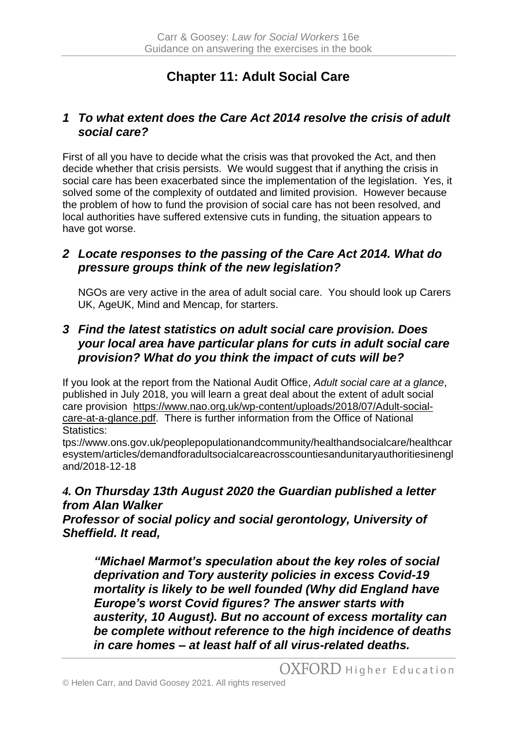# **Chapter 11: Adult Social Care**

#### *1 To what extent does the Care Act 2014 resolve the crisis of adult social care?*

First of all you have to decide what the crisis was that provoked the Act, and then decide whether that crisis persists. We would suggest that if anything the crisis in social care has been exacerbated since the implementation of the legislation. Yes, it solved some of the complexity of outdated and limited provision. However because the problem of how to fund the provision of social care has not been resolved, and local authorities have suffered extensive cuts in funding, the situation appears to have got worse.

# *2 Locate responses to the passing of the Care Act 2014. What do pressure groups think of the new legislation?*

NGOs are very active in the area of adult social care. You should look up Carers UK, AgeUK, Mind and Mencap, for starters.

## *3 Find the latest statistics on adult social care provision. Does your local area have particular plans for cuts in adult social care provision? What do you think the impact of cuts will be?*

If you look at the report from the National Audit Office, *Adult social care at a glance*, published in July 2018, you will learn a great deal about the extent of adult social care provision [https://www.nao.org.uk/wp-content/uploads/2018/07/Adult-social](https://www.nao.org.uk/wp-content/uploads/2018/07/Adult-social-care-at-a-glance.pdf)[care-at-a-glance.pdf.](https://www.nao.org.uk/wp-content/uploads/2018/07/Adult-social-care-at-a-glance.pdf) There is further information from the Office of National Statistics:

tps://www.ons.gov.uk/peoplepopulationandcommunity/healthandsocialcare/healthcar esystem/articles/demandforadultsocialcareacrosscountiesandunitaryauthoritiesinengl and/2018-12-18

## *4. On Thursday 13th August 2020 the Guardian published a letter from Alan Walker*

*Professor of social policy and social gerontology, University of Sheffield. It read,* 

*"Michael Marmot's speculation about the key roles of social deprivation and Tory austerity policies in excess Covid-19 mortality is likely to be well founded [\(Why did England have](https://www.theguardian.com/commentisfree/2020/aug/10/england-worst-covid-figures-austerity-inequality)  [Europe's worst Covid figures? The answer starts with](https://www.theguardian.com/commentisfree/2020/aug/10/england-worst-covid-figures-austerity-inequality)  [austerity,](https://www.theguardian.com/commentisfree/2020/aug/10/england-worst-covid-figures-austerity-inequality) 10 August). But no account of excess mortality can be complete without reference to the high incidence of deaths in care homes – [at least half](https://www.theguardian.com/society/2020/jun/07/more-than-half-of-englands-coronavirus-related-deaths-will-be-people-from-care-homes) of all virus-related deaths.*